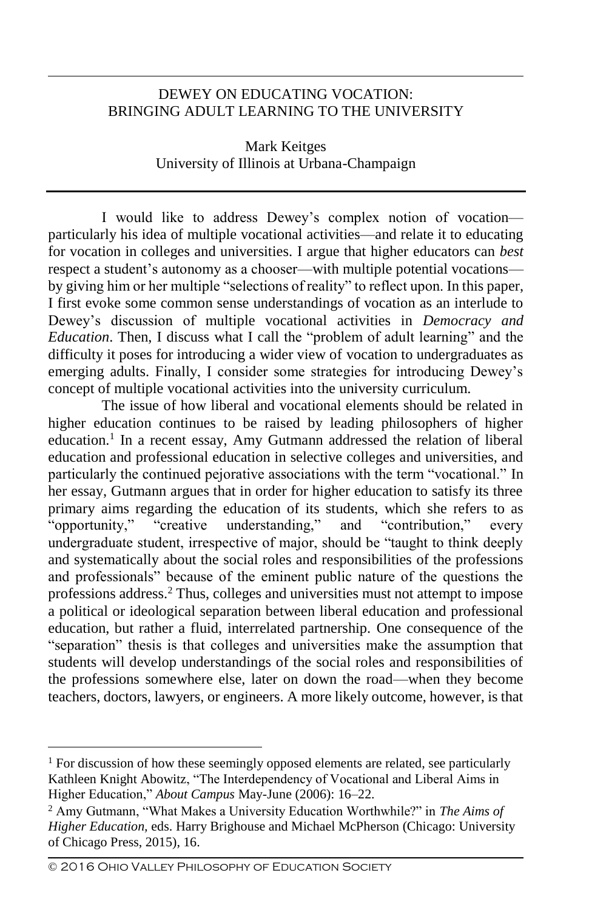## DEWEY ON EDUCATING VOCATION: BRINGING ADULT LEARNING TO THE UNIVERSITY

Mark Keitges University of Illinois at Urbana-Champaign

I would like to address Dewey's complex notion of vocation particularly his idea of multiple vocational activities—and relate it to educating for vocation in colleges and universities. I argue that higher educators can *best*  respect a student's autonomy as a chooser—with multiple potential vocations by giving him or her multiple "selections of reality" to reflect upon. In this paper, I first evoke some common sense understandings of vocation as an interlude to Dewey's discussion of multiple vocational activities in *Democracy and Education*. Then, I discuss what I call the "problem of adult learning" and the difficulty it poses for introducing a wider view of vocation to undergraduates as emerging adults. Finally, I consider some strategies for introducing Dewey's concept of multiple vocational activities into the university curriculum.

The issue of how liberal and vocational elements should be related in higher education continues to be raised by leading philosophers of higher education.<sup>1</sup> In a recent essay, Amy Gutmann addressed the relation of liberal education and professional education in selective colleges and universities, and particularly the continued pejorative associations with the term "vocational." In her essay, Gutmann argues that in order for higher education to satisfy its three primary aims regarding the education of its students, which she refers to as "opportunity," "creative understanding," and "contribution," every undergraduate student, irrespective of major, should be "taught to think deeply and systematically about the social roles and responsibilities of the professions and professionals" because of the eminent public nature of the questions the professions address.<sup>2</sup> Thus, colleges and universities must not attempt to impose a political or ideological separation between liberal education and professional education, but rather a fluid, interrelated partnership. One consequence of the "separation" thesis is that colleges and universities make the assumption that students will develop understandings of the social roles and responsibilities of the professions somewhere else, later on down the road—when they become teachers, doctors, lawyers, or engineers. A more likely outcome, however, is that

 $<sup>1</sup>$  For discussion of how these seemingly opposed elements are related, see particularly</sup> Kathleen Knight Abowitz, "The Interdependency of Vocational and Liberal Aims in Higher Education," *About Campus* May-June (2006): 16–22.

<sup>2</sup> Amy Gutmann, "What Makes a University Education Worthwhile?" in *The Aims of Higher Education,* eds. Harry Brighouse and Michael McPherson (Chicago: University of Chicago Press, 2015), 16.

<sup>©</sup> 2016 Ohio Valley Philosophy of Education Society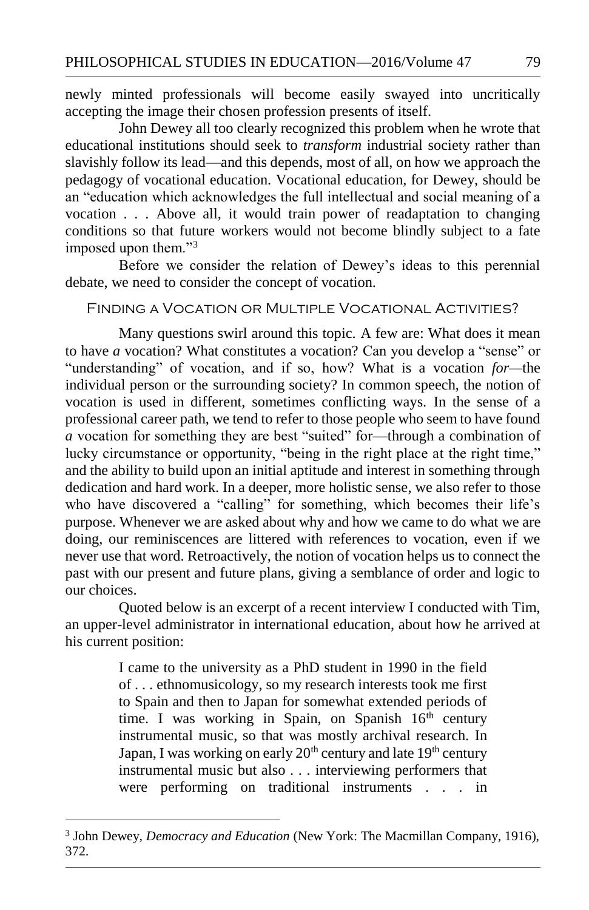newly minted professionals will become easily swayed into uncritically accepting the image their chosen profession presents of itself.

John Dewey all too clearly recognized this problem when he wrote that educational institutions should seek to *transform* industrial society rather than slavishly follow its lead—and this depends, most of all, on how we approach the pedagogy of vocational education. Vocational education, for Dewey, should be an "education which acknowledges the full intellectual and social meaning of a vocation . . . Above all, it would train power of readaptation to changing conditions so that future workers would not become blindly subject to a fate imposed upon them."<sup>3</sup>

Before we consider the relation of Dewey's ideas to this perennial debate, we need to consider the concept of vocation.

## Finding a Vocation or Multiple Vocational Activities?

Many questions swirl around this topic. A few are: What does it mean to have *a* vocation? What constitutes a vocation? Can you develop a "sense" or "understanding" of vocation, and if so, how? What is a vocation *for—*the individual person or the surrounding society? In common speech, the notion of vocation is used in different, sometimes conflicting ways. In the sense of a professional career path, we tend to refer to those people who seem to have found *a* vocation for something they are best "suited" for—through a combination of lucky circumstance or opportunity, "being in the right place at the right time," and the ability to build upon an initial aptitude and interest in something through dedication and hard work. In a deeper, more holistic sense, we also refer to those who have discovered a "calling" for something, which becomes their life's purpose. Whenever we are asked about why and how we came to do what we are doing, our reminiscences are littered with references to vocation, even if we never use that word. Retroactively, the notion of vocation helps us to connect the past with our present and future plans, giving a semblance of order and logic to our choices.

Quoted below is an excerpt of a recent interview I conducted with Tim, an upper-level administrator in international education, about how he arrived at his current position:

> I came to the university as a PhD student in 1990 in the field of . . . ethnomusicology, so my research interests took me first to Spain and then to Japan for somewhat extended periods of time. I was working in Spain, on Spanish  $16<sup>th</sup>$  century instrumental music, so that was mostly archival research. In Japan, I was working on early 20<sup>th</sup> century and late 19<sup>th</sup> century instrumental music but also . . . interviewing performers that were performing on traditional instruments . . . in

<sup>3</sup> John Dewey, *Democracy and Education* (New York: The Macmillan Company, 1916), 372.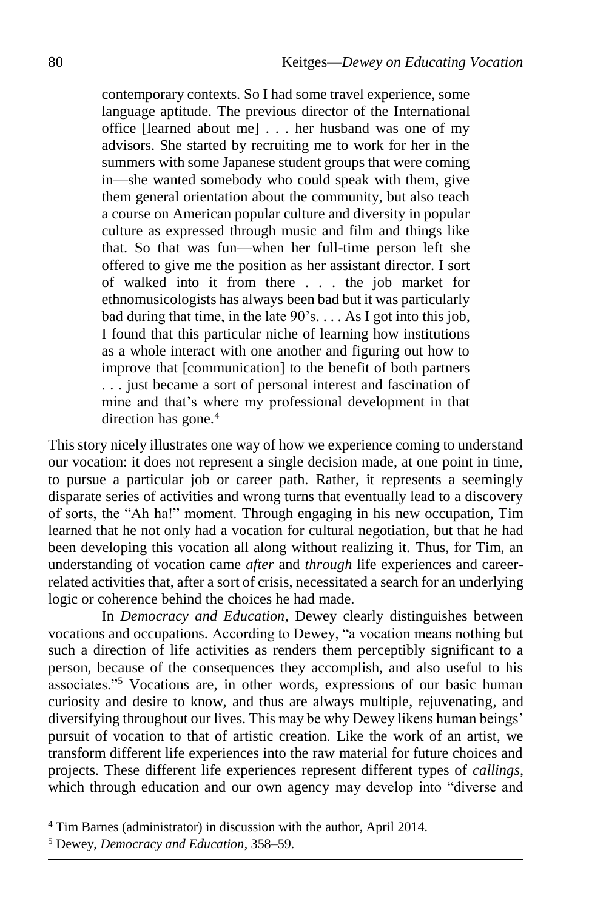contemporary contexts. So I had some travel experience, some language aptitude. The previous director of the International office [learned about me] . . . her husband was one of my advisors. She started by recruiting me to work for her in the summers with some Japanese student groups that were coming in—she wanted somebody who could speak with them, give them general orientation about the community, but also teach a course on American popular culture and diversity in popular culture as expressed through music and film and things like that. So that was fun—when her full-time person left she offered to give me the position as her assistant director. I sort of walked into it from there . . . the job market for ethnomusicologists has always been bad but it was particularly bad during that time, in the late 90's. . . . As I got into this job, I found that this particular niche of learning how institutions as a whole interact with one another and figuring out how to improve that [communication] to the benefit of both partners . . . just became a sort of personal interest and fascination of mine and that's where my professional development in that direction has gone.<sup>4</sup>

This story nicely illustrates one way of how we experience coming to understand our vocation: it does not represent a single decision made, at one point in time, to pursue a particular job or career path. Rather, it represents a seemingly disparate series of activities and wrong turns that eventually lead to a discovery of sorts, the "Ah ha!" moment. Through engaging in his new occupation, Tim learned that he not only had a vocation for cultural negotiation, but that he had been developing this vocation all along without realizing it. Thus, for Tim, an understanding of vocation came *after* and *through* life experiences and careerrelated activities that, after a sort of crisis, necessitated a search for an underlying logic or coherence behind the choices he had made.

In *Democracy and Education*, Dewey clearly distinguishes between vocations and occupations. According to Dewey, "a vocation means nothing but such a direction of life activities as renders them perceptibly significant to a person, because of the consequences they accomplish, and also useful to his associates."<sup>5</sup> Vocations are, in other words, expressions of our basic human curiosity and desire to know, and thus are always multiple, rejuvenating, and diversifying throughout our lives. This may be why Dewey likens human beings' pursuit of vocation to that of artistic creation. Like the work of an artist, we transform different life experiences into the raw material for future choices and projects. These different life experiences represent different types of *callings*, which through education and our own agency may develop into "diverse and

<sup>4</sup> Tim Barnes (administrator) in discussion with the author, April 2014.

<sup>5</sup> Dewey, *Democracy and Education*, 358–59.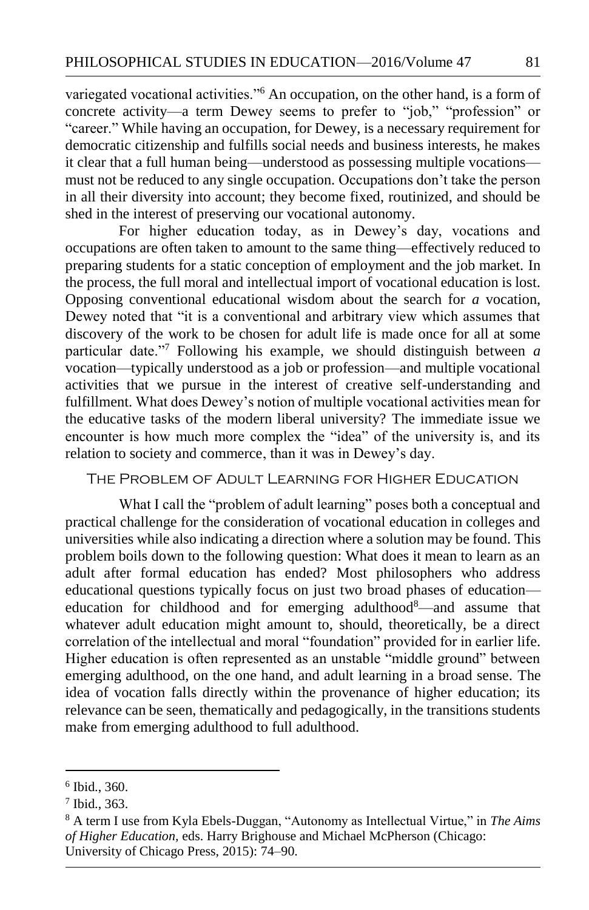variegated vocational activities."<sup>6</sup> An occupation, on the other hand, is a form of concrete activity—a term Dewey seems to prefer to "job," "profession" or "career." While having an occupation, for Dewey, is a necessary requirement for democratic citizenship and fulfills social needs and business interests, he makes it clear that a full human being—understood as possessing multiple vocations must not be reduced to any single occupation. Occupations don't take the person in all their diversity into account; they become fixed, routinized, and should be shed in the interest of preserving our vocational autonomy.

For higher education today, as in Dewey's day, vocations and occupations are often taken to amount to the same thing—effectively reduced to preparing students for a static conception of employment and the job market. In the process, the full moral and intellectual import of vocational education is lost. Opposing conventional educational wisdom about the search for *a* vocation, Dewey noted that "it is a conventional and arbitrary view which assumes that discovery of the work to be chosen for adult life is made once for all at some particular date."<sup>7</sup> Following his example, we should distinguish between *a*  vocation—typically understood as a job or profession—and multiple vocational activities that we pursue in the interest of creative self-understanding and fulfillment. What does Dewey's notion of multiple vocational activities mean for the educative tasks of the modern liberal university? The immediate issue we encounter is how much more complex the "idea" of the university is, and its relation to society and commerce, than it was in Dewey's day.

## The Problem of Adult Learning for Higher Education

What I call the "problem of adult learning" poses both a conceptual and practical challenge for the consideration of vocational education in colleges and universities while also indicating a direction where a solution may be found. This problem boils down to the following question: What does it mean to learn as an adult after formal education has ended? Most philosophers who address educational questions typically focus on just two broad phases of education education for childhood and for emerging adulthood<sup>8</sup>—and assume that whatever adult education might amount to, should, theoretically, be a direct correlation of the intellectual and moral "foundation" provided for in earlier life. Higher education is often represented as an unstable "middle ground" between emerging adulthood, on the one hand, and adult learning in a broad sense. The idea of vocation falls directly within the provenance of higher education; its relevance can be seen, thematically and pedagogically, in the transitions students make from emerging adulthood to full adulthood.

<sup>6</sup> Ibid., 360.

<sup>7</sup> Ibid., 363.

<sup>8</sup> A term I use from Kyla Ebels-Duggan, "Autonomy as Intellectual Virtue," in *The Aims of Higher Education,* eds. Harry Brighouse and Michael McPherson (Chicago: University of Chicago Press, 2015): 74–90.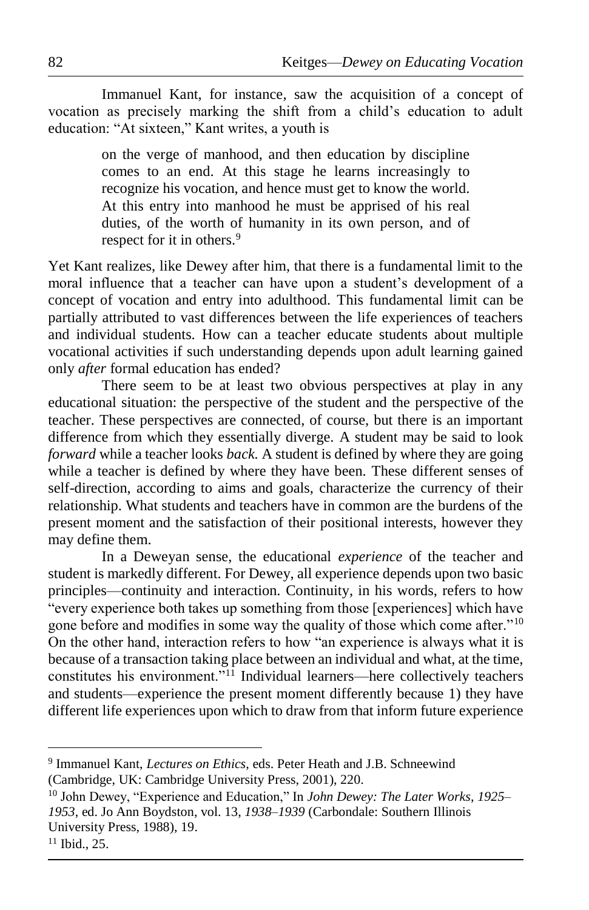Immanuel Kant, for instance, saw the acquisition of a concept of vocation as precisely marking the shift from a child's education to adult education: "At sixteen," Kant writes, a youth is

> on the verge of manhood, and then education by discipline comes to an end. At this stage he learns increasingly to recognize his vocation, and hence must get to know the world. At this entry into manhood he must be apprised of his real duties, of the worth of humanity in its own person, and of respect for it in others.<sup>9</sup>

Yet Kant realizes, like Dewey after him, that there is a fundamental limit to the moral influence that a teacher can have upon a student's development of a concept of vocation and entry into adulthood. This fundamental limit can be partially attributed to vast differences between the life experiences of teachers and individual students. How can a teacher educate students about multiple vocational activities if such understanding depends upon adult learning gained only *after* formal education has ended?

There seem to be at least two obvious perspectives at play in any educational situation: the perspective of the student and the perspective of the teacher. These perspectives are connected, of course, but there is an important difference from which they essentially diverge. A student may be said to look *forward* while a teacher looks *back.* A student is defined by where they are going while a teacher is defined by where they have been. These different senses of self-direction, according to aims and goals, characterize the currency of their relationship. What students and teachers have in common are the burdens of the present moment and the satisfaction of their positional interests, however they may define them.

In a Deweyan sense, the educational *experience* of the teacher and student is markedly different. For Dewey, all experience depends upon two basic principles—continuity and interaction. Continuity, in his words, refers to how "every experience both takes up something from those [experiences] which have gone before and modifies in some way the quality of those which come after."<sup>10</sup> On the other hand, interaction refers to how "an experience is always what it is because of a transaction taking place between an individual and what, at the time, constitutes his environment."<sup>11</sup> Individual learners—here collectively teachers and students—experience the present moment differently because 1) they have different life experiences upon which to draw from that inform future experience

<sup>9</sup> Immanuel Kant, *Lectures on Ethics*, eds. Peter Heath and J.B. Schneewind (Cambridge, UK: Cambridge University Press, 2001), 220.

<sup>10</sup> John Dewey, "Experience and Education," In *John Dewey: The Later Works*, *1925– 1953*, ed. Jo Ann Boydston, vol. 13, *1938–1939* (Carbondale: Southern Illinois University Press, 1988), 19.

 $11$  Ibid., 25.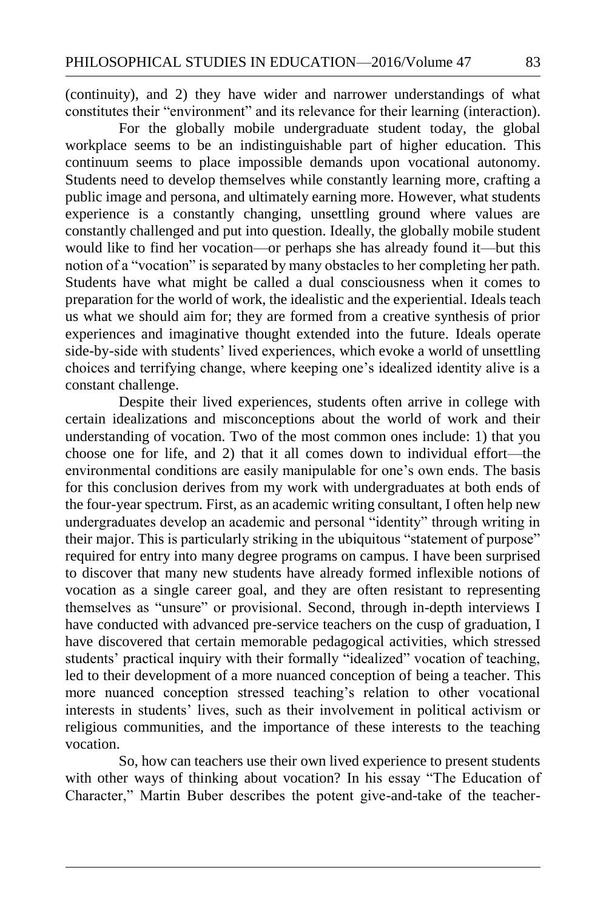(continuity), and 2) they have wider and narrower understandings of what constitutes their "environment" and its relevance for their learning (interaction).

For the globally mobile undergraduate student today, the global workplace seems to be an indistinguishable part of higher education. This continuum seems to place impossible demands upon vocational autonomy. Students need to develop themselves while constantly learning more, crafting a public image and persona, and ultimately earning more. However, what students experience is a constantly changing, unsettling ground where values are constantly challenged and put into question. Ideally, the globally mobile student would like to find her vocation—or perhaps she has already found it—but this notion of a "vocation" is separated by many obstacles to her completing her path. Students have what might be called a dual consciousness when it comes to preparation for the world of work, the idealistic and the experiential. Ideals teach us what we should aim for; they are formed from a creative synthesis of prior experiences and imaginative thought extended into the future. Ideals operate side-by-side with students' lived experiences, which evoke a world of unsettling choices and terrifying change, where keeping one's idealized identity alive is a constant challenge.

Despite their lived experiences, students often arrive in college with certain idealizations and misconceptions about the world of work and their understanding of vocation. Two of the most common ones include: 1) that you choose one for life, and 2) that it all comes down to individual effort—the environmental conditions are easily manipulable for one's own ends. The basis for this conclusion derives from my work with undergraduates at both ends of the four-year spectrum. First, as an academic writing consultant, I often help new undergraduates develop an academic and personal "identity" through writing in their major. This is particularly striking in the ubiquitous "statement of purpose" required for entry into many degree programs on campus. I have been surprised to discover that many new students have already formed inflexible notions of vocation as a single career goal, and they are often resistant to representing themselves as "unsure" or provisional. Second, through in-depth interviews I have conducted with advanced pre-service teachers on the cusp of graduation, I have discovered that certain memorable pedagogical activities, which stressed students' practical inquiry with their formally "idealized" vocation of teaching, led to their development of a more nuanced conception of being a teacher. This more nuanced conception stressed teaching's relation to other vocational interests in students' lives, such as their involvement in political activism or religious communities, and the importance of these interests to the teaching vocation.

So, how can teachers use their own lived experience to present students with other ways of thinking about vocation? In his essay "The Education of Character," Martin Buber describes the potent give-and-take of the teacher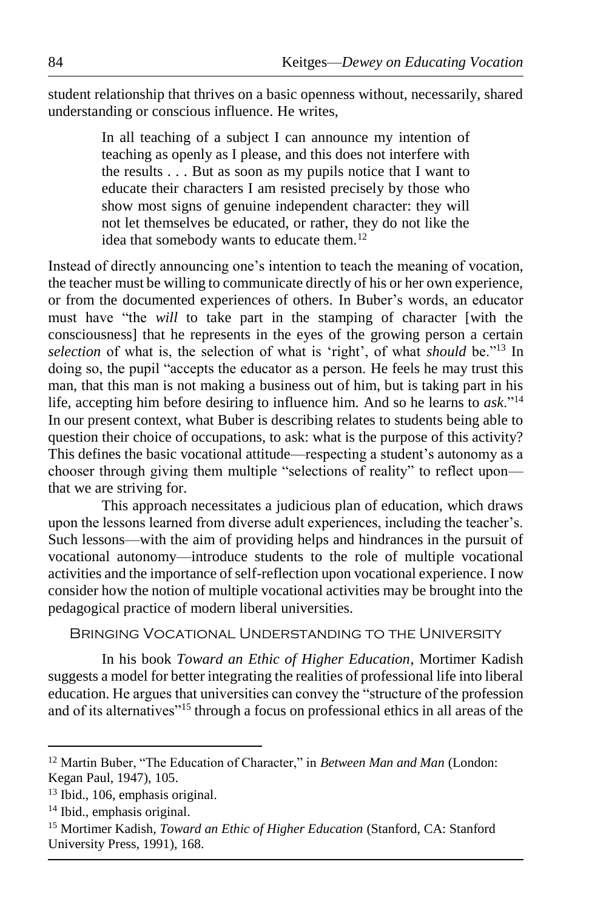student relationship that thrives on a basic openness without, necessarily, shared understanding or conscious influence. He writes,

> In all teaching of a subject I can announce my intention of teaching as openly as I please, and this does not interfere with the results . . . But as soon as my pupils notice that I want to educate their characters I am resisted precisely by those who show most signs of genuine independent character: they will not let themselves be educated, or rather, they do not like the idea that somebody wants to educate them.<sup>12</sup>

Instead of directly announcing one's intention to teach the meaning of vocation, the teacher must be willing to communicate directly of his or her own experience, or from the documented experiences of others. In Buber's words, an educator must have "the *will* to take part in the stamping of character [with the consciousness] that he represents in the eyes of the growing person a certain *selection* of what is, the selection of what is 'right', of what *should* be."<sup>13</sup> In doing so, the pupil "accepts the educator as a person. He feels he may trust this man, that this man is not making a business out of him, but is taking part in his life, accepting him before desiring to influence him. And so he learns to *ask*."<sup>14</sup> In our present context, what Buber is describing relates to students being able to question their choice of occupations, to ask: what is the purpose of this activity? This defines the basic vocational attitude—respecting a student's autonomy as a chooser through giving them multiple "selections of reality" to reflect upon that we are striving for.

This approach necessitates a judicious plan of education, which draws upon the lessons learned from diverse adult experiences, including the teacher's. Such lessons—with the aim of providing helps and hindrances in the pursuit of vocational autonomy—introduce students to the role of multiple vocational activities and the importance of self-reflection upon vocational experience. I now consider how the notion of multiple vocational activities may be brought into the pedagogical practice of modern liberal universities.

Bringing Vocational Understanding to the University

In his book *Toward an Ethic of Higher Education*, Mortimer Kadish suggests a model for better integrating the realities of professional life into liberal education. He argues that universities can convey the "structure of the profession and of its alternatives"<sup>15</sup> through a focus on professional ethics in all areas of the

<sup>12</sup> Martin Buber, "The Education of Character," in *Between Man and Man* (London: Kegan Paul, 1947), 105.

<sup>13</sup> Ibid., 106, emphasis original.

<sup>14</sup> Ibid., emphasis original.

<sup>15</sup> Mortimer Kadish, *Toward an Ethic of Higher Education* (Stanford, CA: Stanford University Press, 1991), 168.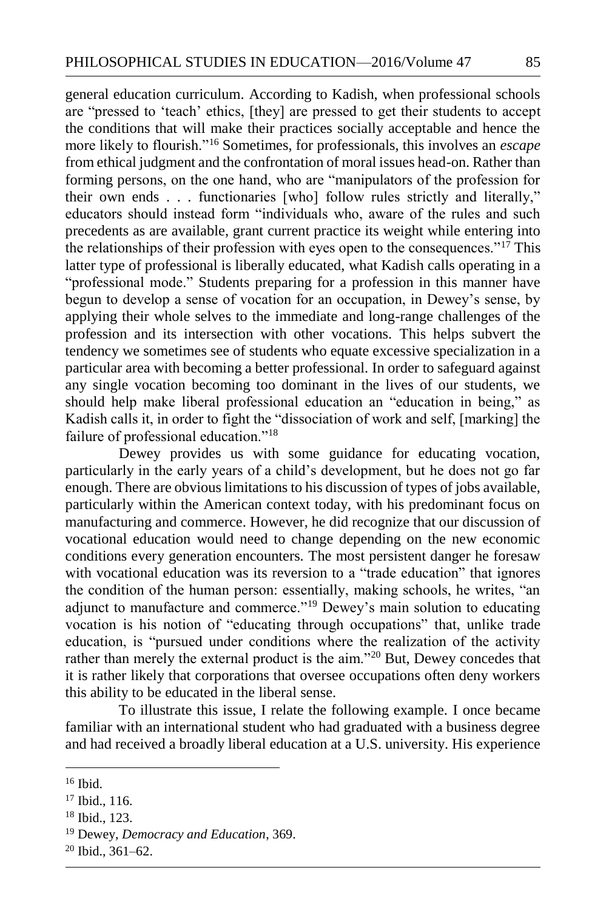general education curriculum. According to Kadish, when professional schools are "pressed to 'teach' ethics, [they] are pressed to get their students to accept the conditions that will make their practices socially acceptable and hence the more likely to flourish."<sup>16</sup> Sometimes, for professionals, this involves an *escape* from ethical judgment and the confrontation of moral issues head-on. Rather than forming persons, on the one hand, who are "manipulators of the profession for their own ends . . . functionaries [who] follow rules strictly and literally," educators should instead form "individuals who, aware of the rules and such precedents as are available, grant current practice its weight while entering into the relationships of their profession with eyes open to the consequences." $1<sup>7</sup>$  This latter type of professional is liberally educated, what Kadish calls operating in a "professional mode." Students preparing for a profession in this manner have begun to develop a sense of vocation for an occupation, in Dewey's sense, by applying their whole selves to the immediate and long-range challenges of the profession and its intersection with other vocations. This helps subvert the tendency we sometimes see of students who equate excessive specialization in a particular area with becoming a better professional. In order to safeguard against any single vocation becoming too dominant in the lives of our students, we should help make liberal professional education an "education in being," as Kadish calls it, in order to fight the "dissociation of work and self, [marking] the failure of professional education."<sup>18</sup>

Dewey provides us with some guidance for educating vocation, particularly in the early years of a child's development, but he does not go far enough. There are obvious limitations to his discussion of types of jobs available, particularly within the American context today, with his predominant focus on manufacturing and commerce. However, he did recognize that our discussion of vocational education would need to change depending on the new economic conditions every generation encounters. The most persistent danger he foresaw with vocational education was its reversion to a "trade education" that ignores the condition of the human person: essentially, making schools, he writes, "an adjunct to manufacture and commerce."<sup>19</sup> Dewey's main solution to educating vocation is his notion of "educating through occupations" that, unlike trade education, is "pursued under conditions where the realization of the activity rather than merely the external product is the aim."<sup>20</sup> But, Dewey concedes that it is rather likely that corporations that oversee occupations often deny workers this ability to be educated in the liberal sense.

To illustrate this issue, I relate the following example. I once became familiar with an international student who had graduated with a business degree and had received a broadly liberal education at a U.S. university. His experience

 $16$  Ibid.

<sup>&</sup>lt;sup>17</sup> Ibid., 116.

<sup>18</sup> Ibid., 123.

<sup>19</sup> Dewey, *Democracy and Education*, 369.

<sup>20</sup> Ibid., 361–62.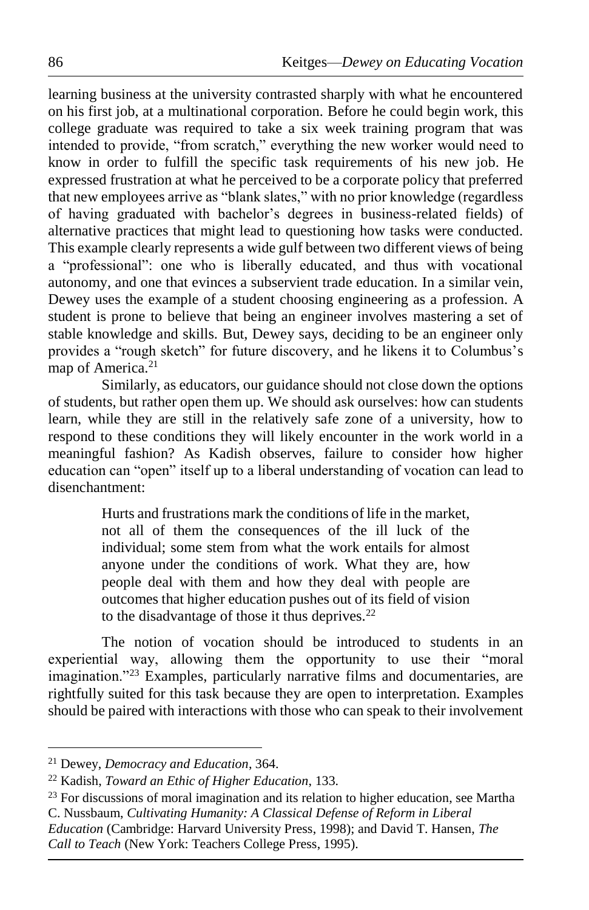learning business at the university contrasted sharply with what he encountered on his first job, at a multinational corporation. Before he could begin work, this college graduate was required to take a six week training program that was intended to provide, "from scratch," everything the new worker would need to know in order to fulfill the specific task requirements of his new job. He expressed frustration at what he perceived to be a corporate policy that preferred that new employees arrive as "blank slates," with no prior knowledge (regardless of having graduated with bachelor's degrees in business-related fields) of alternative practices that might lead to questioning how tasks were conducted. This example clearly represents a wide gulf between two different views of being a "professional": one who is liberally educated, and thus with vocational autonomy, and one that evinces a subservient trade education. In a similar vein, Dewey uses the example of a student choosing engineering as a profession. A student is prone to believe that being an engineer involves mastering a set of stable knowledge and skills. But, Dewey says, deciding to be an engineer only provides a "rough sketch" for future discovery, and he likens it to Columbus's map of America.<sup>21</sup>

Similarly, as educators, our guidance should not close down the options of students, but rather open them up. We should ask ourselves: how can students learn, while they are still in the relatively safe zone of a university, how to respond to these conditions they will likely encounter in the work world in a meaningful fashion? As Kadish observes, failure to consider how higher education can "open" itself up to a liberal understanding of vocation can lead to disenchantment:

> Hurts and frustrations mark the conditions of life in the market, not all of them the consequences of the ill luck of the individual; some stem from what the work entails for almost anyone under the conditions of work. What they are, how people deal with them and how they deal with people are outcomes that higher education pushes out of its field of vision to the disadvantage of those it thus deprives.<sup>22</sup>

The notion of vocation should be introduced to students in an experiential way, allowing them the opportunity to use their "moral imagination."<sup>23</sup> Examples, particularly narrative films and documentaries, are rightfully suited for this task because they are open to interpretation. Examples should be paired with interactions with those who can speak to their involvement

<sup>21</sup> Dewey, *Democracy and Education*, 364.

<sup>22</sup> Kadish, *Toward an Ethic of Higher Education*, 133.

<sup>&</sup>lt;sup>23</sup> For discussions of moral imagination and its relation to higher education, see Martha C. Nussbaum, *Cultivating Humanity: A Classical Defense of Reform in Liberal* 

*Education* (Cambridge: Harvard University Press, 1998); and David T. Hansen, *The Call to Teach* (New York: Teachers College Press, 1995).